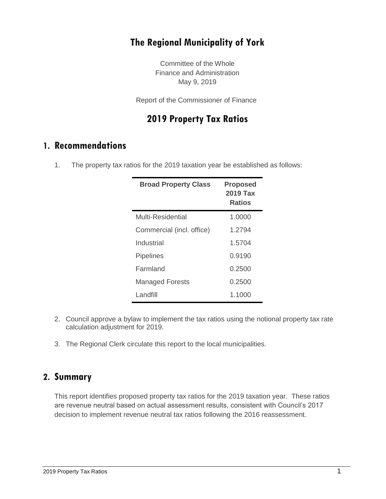### **The Regional Municipality of York**

Committee of the Whole Finance and Administration May 9, 2019

Report of the Commissioner of Finance

### **2019 Property Tax Ratios**

### **1. Recommendations**

1. The property tax ratios for the 2019 taxation year be established as follows:

| <b>Broad Property Class</b> | <b>Proposed</b><br>2019 Tax<br><b>Ratios</b> |
|-----------------------------|----------------------------------------------|
| Multi-Residential           | 1.0000                                       |
| Commercial (incl. office)   | 1.2794                                       |
| Industrial                  | 1.5704                                       |
| <b>Pipelines</b>            | 0.9190                                       |
| Farmland                    | 0.2500                                       |
| <b>Managed Forests</b>      | 0.2500                                       |
| I andfill                   | 1.1000                                       |

- 2. Council approve a bylaw to implement the tax ratios using the notional property tax rate calculation adjustment for 2019.
- 3. The Regional Clerk circulate this report to the local municipalities.

### **2. Summary**

This report identifies proposed property tax ratios for the 2019 taxation year. These ratios are revenue neutral based on actual assessment results, consistent with Council's 2017 decision to implement revenue neutral tax ratios following the 2016 reassessment.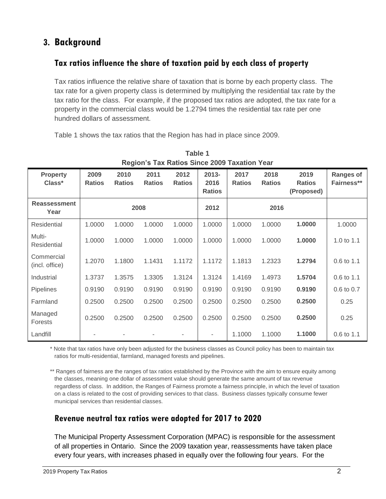# **3. Background**

### **Tax ratios influence the share of taxation paid by each class of property**

Tax ratios influence the relative share of taxation that is borne by each property class. The tax rate for a given property class is determined by multiplying the residential tax rate by the tax ratio for the class. For example, if the proposed tax ratios are adopted, the tax rate for a property in the commercial class would be 1.2794 times the residential tax rate per one hundred dollars of assessment.

Table 1 shows the tax ratios that the Region has had in place since 2009.

| Region's Tax Ratios Since 2009 Taxation Year |                       |                       |                       |                       |                                   |                       |                       |                                     |                                |
|----------------------------------------------|-----------------------|-----------------------|-----------------------|-----------------------|-----------------------------------|-----------------------|-----------------------|-------------------------------------|--------------------------------|
| <b>Property</b><br>Class*                    | 2009<br><b>Ratios</b> | 2010<br><b>Ratios</b> | 2011<br><b>Ratios</b> | 2012<br><b>Ratios</b> | $2013 -$<br>2016<br><b>Ratios</b> | 2017<br><b>Ratios</b> | 2018<br><b>Ratios</b> | 2019<br><b>Ratios</b><br>(Proposed) | <b>Ranges of</b><br>Fairness** |
| <b>Reassessment</b><br>Year                  | 2008                  |                       |                       | 2012                  |                                   | 2016                  |                       |                                     |                                |
| Residential                                  | 1.0000                | 1.0000                | 1.0000                | 1.0000                | 1.0000                            | 1.0000                | 1.0000                | 1.0000                              | 1.0000                         |
| Multi-<br>Residential                        | 1.0000                | 1.0000                | 1.0000                | 1.0000                | 1.0000                            | 1.0000                | 1.0000                | 1.0000                              | 1.0 to 1.1                     |
| Commercial<br>(incl. office)                 | 1.2070                | 1.1800                | 1.1431                | 1.1172                | 1.1172                            | 1.1813                | 1.2323                | 1.2794                              | 0.6 to 1.1                     |
| Industrial                                   | 1.3737                | 1.3575                | 1.3305                | 1.3124                | 1.3124                            | 1.4169                | 1.4973                | 1.5704                              | 0.6 to 1.1                     |
| Pipelines                                    | 0.9190                | 0.9190                | 0.9190                | 0.9190                | 0.9190                            | 0.9190                | 0.9190                | 0.9190                              | 0.6 to 0.7                     |
| Farmland                                     | 0.2500                | 0.2500                | 0.2500                | 0.2500                | 0.2500                            | 0.2500                | 0.2500                | 0.2500                              | 0.25                           |
| Managed<br>Forests                           | 0.2500                | 0.2500                | 0.2500                | 0.2500                | 0.2500                            | 0.2500                | 0.2500                | 0.2500                              | 0.25                           |
| Landfill                                     |                       |                       |                       |                       |                                   | 1.1000                | 1.1000                | 1.1000                              | 0.6 to 1.1                     |

**Table 1 Region's Tax Ratios Since 2009 Taxation Year**

\* Note that tax ratios have only been adjusted for the business classes as Council policy has been to maintain tax ratios for multi-residential, farmland, managed forests and pipelines.

\*\* Ranges of fairness are the ranges of tax ratios established by the Province with the aim to ensure equity among the classes, meaning one dollar of assessment value should generate the same amount of tax revenue regardless of class. In addition, the Ranges of Fairness promote a fairness principle, in which the level of taxation on a class is related to the cost of providing services to that class. Business classes typically consume fewer municipal services than residential classes.

#### **Revenue neutral tax ratios were adopted for 2017 to 2020**

The Municipal Property Assessment Corporation (MPAC) is responsible for the assessment of all properties in Ontario. Since the 2009 taxation year, reassessments have taken place every four years, with increases phased in equally over the following four years. For the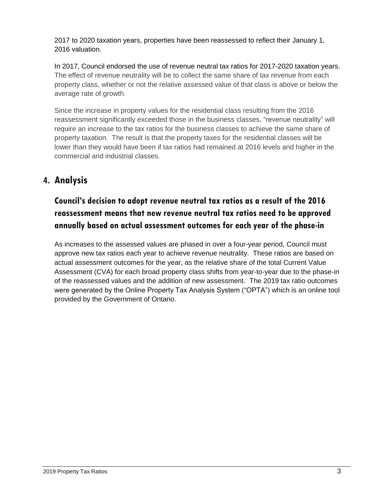2017 to 2020 taxation years, properties have been reassessed to reflect their January 1, 2016 valuation.

In 2017, Council endorsed the use of revenue neutral tax ratios for 2017-2020 taxation years. The effect of revenue neutrality will be to collect the same share of tax revenue from each property class, whether or not the relative assessed value of that class is above or below the average rate of growth.

Since the increase in property values for the residential class resulting from the 2016 reassessment significantly exceeded those in the business classes, "revenue neutrality" will require an increase to the tax ratios for the business classes to achieve the same share of property taxation. The result is that the property taxes for the residential classes will be lower than they would have been if tax ratios had remained at 2016 levels and higher in the commercial and industrial classes.

# **4. Analysis**

# **Council's decision to adopt revenue neutral tax ratios as a result of the 2016 reassessment means that new revenue neutral tax ratios need to be approved annually based on actual assessment outcomes for each year of the phase-in**

As increases to the assessed values are phased in over a four-year period, Council must approve new tax ratios each year to achieve revenue neutrality. These ratios are based on actual assessment outcomes for the year, as the relative share of the total Current Value Assessment (CVA) for each broad property class shifts from year-to-year due to the phase-in of the reassessed values and the addition of new assessment. The 2019 tax ratio outcomes were generated by the Online Property Tax Analysis System ("OPTA") which is an online tool provided by the Government of Ontario.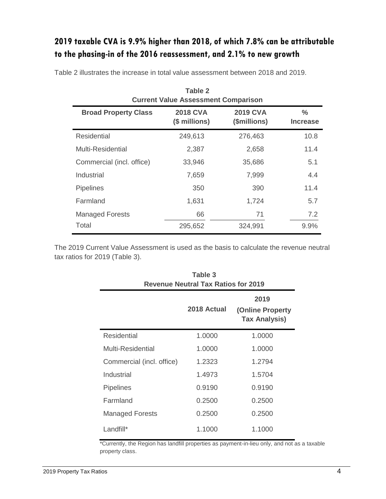# **2019 taxable CVA is 9.9% higher than 2018, of which 7.8% can be attributable to the phasing-in of the 2016 reassessment, and 2.1% to new growth**

| Table 2<br><b>Current Value Assessment Comparison</b> |                                  |                                 |                                  |  |  |
|-------------------------------------------------------|----------------------------------|---------------------------------|----------------------------------|--|--|
| <b>Broad Property Class</b>                           | <b>2018 CVA</b><br>(\$ millions) | <b>2019 CVA</b><br>(\$millions) | $\frac{0}{0}$<br><b>Increase</b> |  |  |
| Residential                                           | 249,613                          | 276,463                         | 10.8                             |  |  |
| Multi-Residential                                     | 2,387                            | 2,658                           | 11.4                             |  |  |
| Commercial (incl. office)                             | 33,946                           | 35,686                          | 5.1                              |  |  |
| Industrial                                            | 7,659                            | 7,999                           | 4.4                              |  |  |
| <b>Pipelines</b>                                      | 350                              | 390                             | 11.4                             |  |  |
| Farmland                                              | 1,631                            | 1,724                           | 5.7                              |  |  |
| <b>Managed Forests</b>                                | 66                               | 71                              | 7.2                              |  |  |
| Total                                                 | 295,652                          | 324,991                         | 9.9%                             |  |  |

Table 2 illustrates the increase in total value assessment between 2018 and 2019.

The 2019 Current Value Assessment is used as the basis to calculate the revenue neutral tax ratios for 2019 (Table 3).

| Table 3<br><b>Revenue Neutral Tax Ratios for 2019</b> |             |                                                          |  |  |
|-------------------------------------------------------|-------------|----------------------------------------------------------|--|--|
|                                                       | 2018 Actual | 2019<br><b>(Online Property)</b><br><b>Tax Analysis)</b> |  |  |
| <b>Residential</b>                                    | 1.0000      | 1.0000                                                   |  |  |
| Multi-Residential                                     | 1.0000      | 1.0000                                                   |  |  |
| Commercial (incl. office)                             | 1.2323      | 1.2794                                                   |  |  |
| Industrial                                            | 1.4973      | 1.5704                                                   |  |  |
| <b>Pipelines</b>                                      | 0.9190      | 0.9190                                                   |  |  |
| Farmland                                              | 0.2500      | 0.2500                                                   |  |  |
| <b>Managed Forests</b>                                | 0.2500      | 0.2500                                                   |  |  |
| Landfill*                                             | 1.1000      | 1.1000                                                   |  |  |

\*Currently, the Region has landfill properties as payment-in-lieu only, and not as a taxable property class.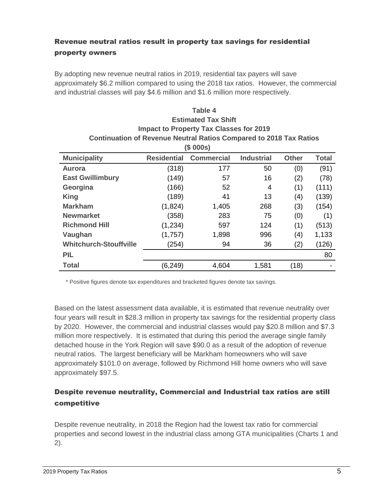### Revenue neutral ratios result in property tax savings for residential property owners

By adopting new revenue neutral ratios in 2019, residential tax payers will save approximately \$6.2 million compared to using the 2018 tax ratios. However, the commercial and industrial classes will pay \$4.6 million and \$1.6 million more respectively.

**Table 4**

| <b>Estimated Tax Shift</b>                                                |                    |                   |                   |              |       |  |  |  |
|---------------------------------------------------------------------------|--------------------|-------------------|-------------------|--------------|-------|--|--|--|
| <b>Impact to Property Tax Classes for 2019</b>                            |                    |                   |                   |              |       |  |  |  |
| <b>Continuation of Revenue Neutral Ratios Compared to 2018 Tax Ratios</b> |                    |                   |                   |              |       |  |  |  |
| (\$000s)                                                                  |                    |                   |                   |              |       |  |  |  |
| <b>Municipality</b>                                                       | <b>Residential</b> | <b>Commercial</b> | <b>Industrial</b> | <b>Other</b> | Total |  |  |  |
| Aurora                                                                    | (318)              | 177               | 50                | (0)          | (91)  |  |  |  |
| <b>East Gwillimbury</b>                                                   | (149)              | 57                | 16                | (2)          | (78)  |  |  |  |
| Georgina                                                                  | (166)              | 52                | 4                 | (1)          | (111) |  |  |  |
| <b>King</b>                                                               | (189)              | 41                | 13                | (4)          | (139) |  |  |  |
| <b>Markham</b>                                                            | (1,824)            | 1,405             | 268               | (3)          | (154) |  |  |  |
| <b>Newmarket</b>                                                          | (358)              | 283               | 75                | (0)          | (1)   |  |  |  |
| <b>Richmond Hill</b>                                                      | (1, 234)           | 597               | 124               | (1)          | (513) |  |  |  |
| Vaughan                                                                   | (1,757)            | 1,898             | 996               | (4)          | 1,133 |  |  |  |
| <b>Whitchurch-Stouffville</b>                                             | (254)              | 94                | 36                | (2)          | (126) |  |  |  |
| <b>PIL</b>                                                                |                    |                   |                   |              | 80    |  |  |  |
| Total                                                                     | (6, 249)           | 4,604             | 1,581             | (18)         |       |  |  |  |

\* Positive figures denote tax expenditures and bracketed figures denote tax savings.

Based on the latest assessment data available, it is estimated that revenue neutrality over four years will result in \$28.3 million in property tax savings for the residential property class by 2020. However, the commercial and industrial classes would pay \$20.8 million and \$7.3 million more respectively. It is estimated that during this period the average single family detached house in the York Region will save \$90.0 as a result of the adoption of revenue neutral ratios. The largest beneficiary will be Markham homeowners who will save approximately \$101.0 on average, followed by Richmond Hill home owners who will save approximately \$97.5.

#### Despite revenue neutrality, Commercial and Industrial tax ratios are still competitive

Despite revenue neutrality, in 2018 the Region had the lowest tax ratio for commercial properties and second lowest in the industrial class among GTA municipalities (Charts 1 and 2).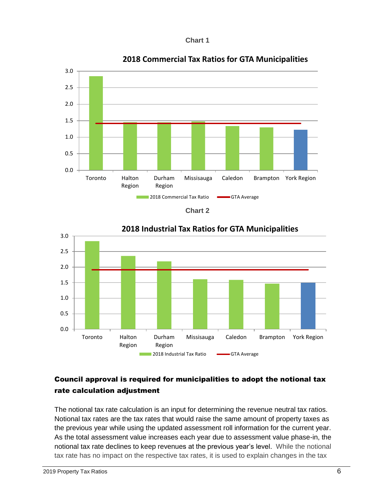



**2018 Commercial Tax Ratios for GTA Municipalities**





#### **2018 Industrial Tax Ratios for GTA Municipalities**

### Council approval is required for municipalities to adopt the notional tax rate calculation adjustment

The notional tax rate calculation is an input for determining the revenue neutral tax ratios. Notional tax rates are the tax rates that would raise the same amount of property taxes as the previous year while using the updated assessment roll information for the current year. As the total assessment value increases each year due to assessment value phase-in, the notional tax rate declines to keep revenues at the previous year's level. While the notional tax rate has no impact on the respective tax rates, it is used to explain changes in the tax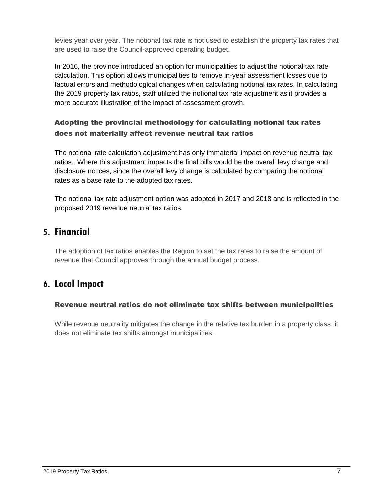levies year over year. The notional tax rate is not used to establish the property tax rates that are used to raise the Council-approved operating budget.

In 2016, the province introduced an option for municipalities to adjust the notional tax rate calculation. This option allows municipalities to remove in-year assessment losses due to factual errors and methodological changes when calculating notional tax rates. In calculating the 2019 property tax ratios, staff utilized the notional tax rate adjustment as it provides a more accurate illustration of the impact of assessment growth.

#### Adopting the provincial methodology for calculating notional tax rates does not materially affect revenue neutral tax ratios

The notional rate calculation adjustment has only immaterial impact on revenue neutral tax ratios. Where this adjustment impacts the final bills would be the overall levy change and disclosure notices, since the overall levy change is calculated by comparing the notional rates as a base rate to the adopted tax rates.

The notional tax rate adjustment option was adopted in 2017 and 2018 and is reflected in the proposed 2019 revenue neutral tax ratios.

### **5. Financial**

The adoption of tax ratios enables the Region to set the tax rates to raise the amount of revenue that Council approves through the annual budget process.

### **6. Local Impact**

#### Revenue neutral ratios do not eliminate tax shifts between municipalities

While revenue neutrality mitigates the change in the relative tax burden in a property class, it does not eliminate tax shifts amongst municipalities.